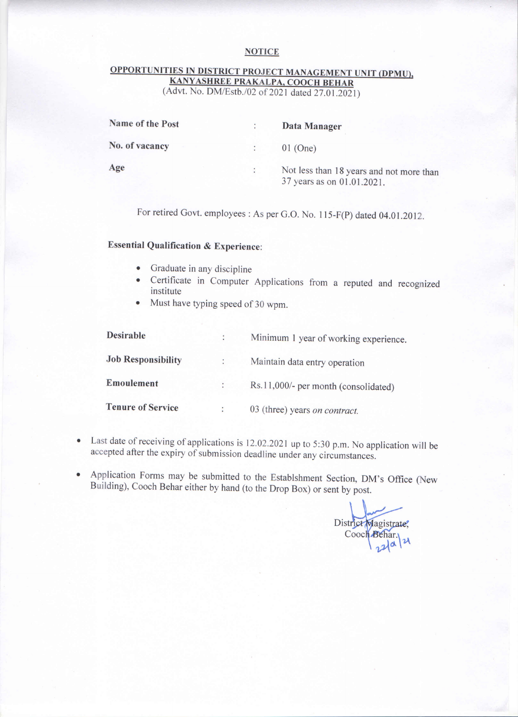## **NOTICE**

## OPPORTUNITIES IN DISTRICT PROJECT MANAGEMENT UNIT (DPMU), KANYASHREE PRAKALPA, COOCH BEHAR

(Advt. No. DM/Estb./02 of 2021 dated 27.01.2021)

|   | Data Manager                                                           |
|---|------------------------------------------------------------------------|
|   | $01$ (One)                                                             |
| ÷ | Not less than 18 years and not more than<br>37 years as on 01.01.2021. |
|   |                                                                        |

For retired Govt. employees : As per G.O. No. 115-F(P) dated 04.01.2012.

## **Essential Qualification & Experience:**

- Graduate in any discipline
- Certificate in Computer Applications from a reputed and recognized institute
- Must have typing speed of 30 wpm.

| <b>Desirable</b>          |               | Minimum 1 year of working experience. |
|---------------------------|---------------|---------------------------------------|
| <b>Job Responsibility</b> |               | Maintain data entry operation         |
| Emoulement                | $\mathcal{L}$ | Rs.11,000/- per month (consolidated)  |
| <b>Tenure of Service</b>  |               | 03 (three) years on contract.         |

- Last date of receiving of applications is 12.02.2021 up to 5:30 p.m. No application will be accepted after the expiry of submission deadline under any circumstances.
- Application Forms may be submitted to the Establshment Section, DM's Office (New  $\bullet$ Building), Cooch Behar either by hand (to the Drop Box) or sent by post.

District Magistrate, Cooch Behar. lα